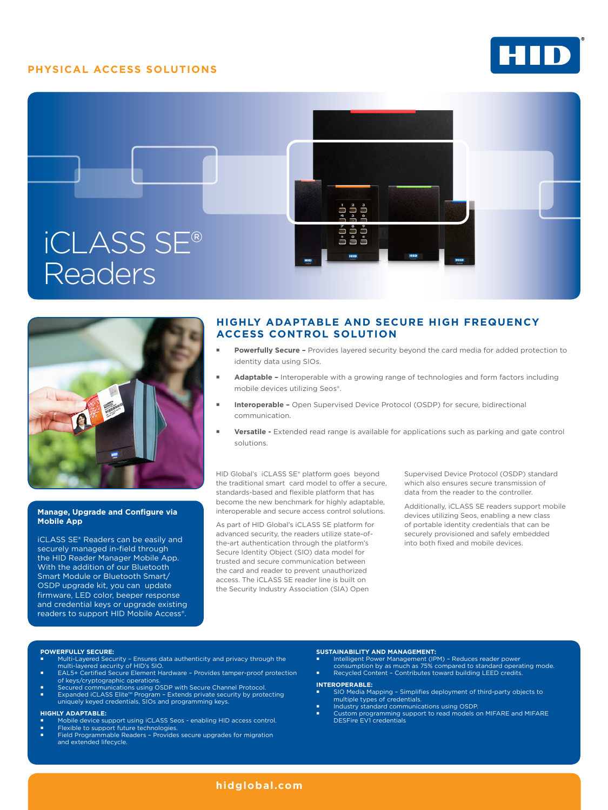# **PHYSICAL ACCESS SOLUTIONS**







### **Manage, Upgrade and Configure via Mobile App**

iCLASS SE® Readers can be easily and securely managed in-field through the HID Reader Manager Mobile App. With the addition of our Bluetooth Smart Module or Bluetooth Smart/ OSDP upgrade kit, you can update firmware, LED color, beeper response and credential keys or upgrade existing readers to support HID Mobile Access®.

# **HIGHLY ADAPTABLE AND SECURE HIGH FREQUENCY ACCESS CONTROL SOLUTION**

- **Powerfully Secure** Provides layered security beyond the card media for added protection to identity data using SIOs.
- **Adaptable** Interoperable with a growing range of technologies and form factors including mobile devices utilizing Seos®.
- **Interoperable** Open Supervised Device Protocol (OSDP) for secure, bidirectional communication.
- **Versatile** Extended read range is available for applications such as parking and gate control solutions.

HID Global's iCLASS SE® platform goes beyond the traditional smart card model to offer a secure, standards-based and flexible platform that has become the new benchmark for highly adaptable, interoperable and secure access control solutions.

As part of HID Global's iCLASS SE platform for advanced security, the readers utilize state-ofthe-art authentication through the platform's Secure Identity Object (SIO) data model for trusted and secure communication between the card and reader to prevent unauthorized access. The iCLASS SE reader line is built on the Security Industry Association (SIA) Open

Supervised Device Protocol (OSDP) standard which also ensures secure transmission of data from the reader to the controller.

Additionally, iCLASS SE readers support mobile devices utilizing Seos, enabling a new class of portable identity credentials that can be securely provisioned and safely embedded into both fixed and mobile devices.

#### **POWERFULLY SECURE:**

- Multi-Layered Security Ensures data authenticity and privacy through the multi-layered security of HID's SIO.
- EAL5+ Certified Secure Element Hardware Provides tamper-proof protection of keys/cryptographic operations.
- Secured communications using OSDP with Secure Channel Protocol.<br>■ Expanded iCLASS Elite™ Program Extends private security by protecting<br>uniquely keyed credentials, SIOs and programming keys.

#### **HIGHLY ADAPTABLE:**

- Mobile device support using iCLASS Seos enabling HID access control.
- 
- Flexible to support future technologies. Field Programmable Readers Provides secure upgrades for migration and extended lifecycle.

#### **SUSTAINABILITY AND MANAGEMENT:**

- Intelligent Power Management (IPM) Reduces reader power consumption by as much as 75% compared to standard operating mode.
- Recycled Content Contributes toward building LEED credits. **INTEROPERABLE:**

DESFire EV1 credentials

- SIO Media Mapping Simplifies deployment of third-party objects to multiple types of credentials. Industry standard communications using OSDP.
- Custom programming support to read models on MIFARE and MIFARE
- **[hidglobal.com](http://www.hidglobal.com)**